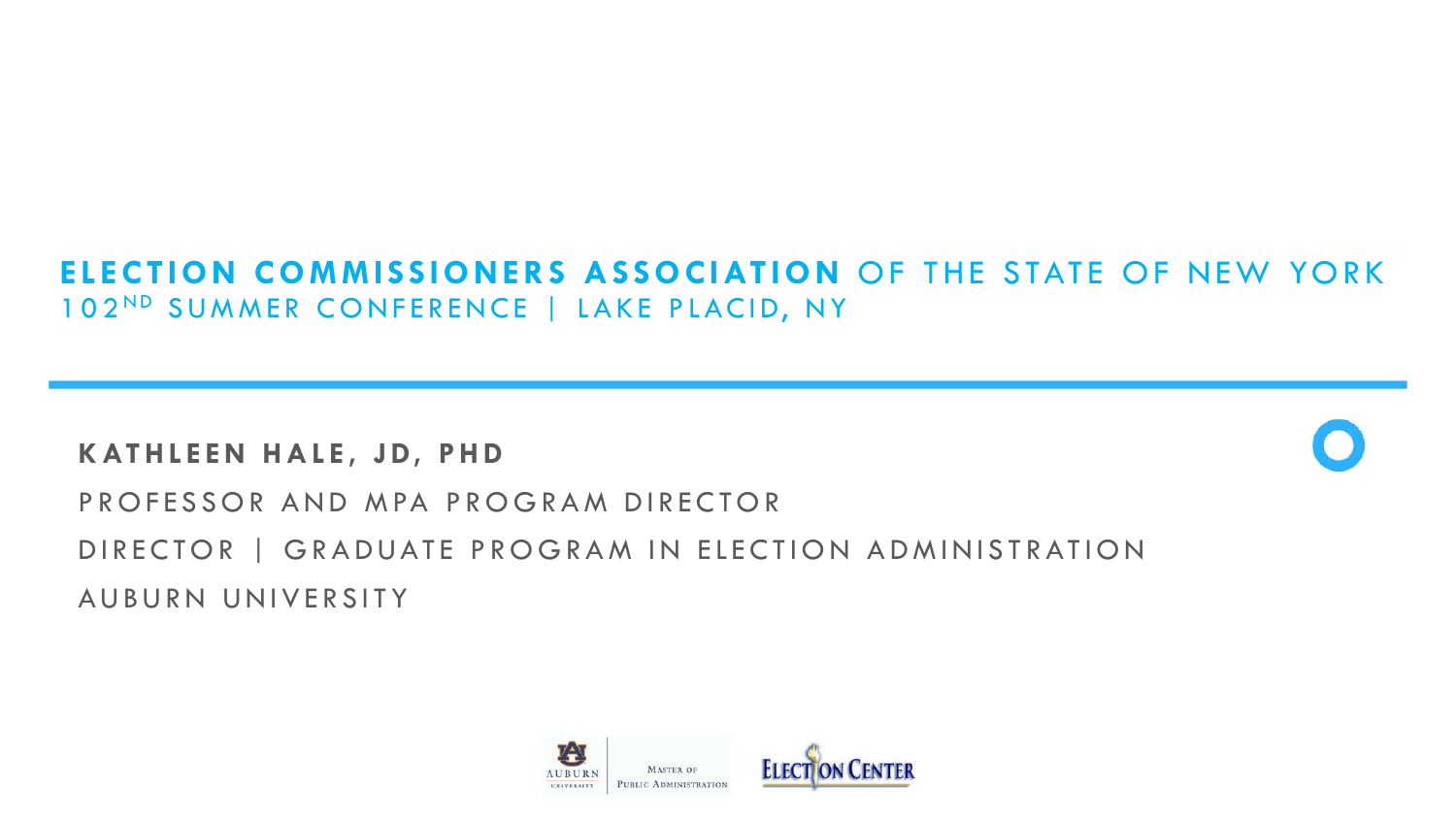#### **ELECTION COMMISSIONERS ASSOCIATION** OF THE STATE OF NEW YORK 102ND SUMMER CONFERENCE | LAKE PLACID, NY

#### **KATHLEEN HALE, JD, PHD**



### PROFESSOR AND MPA PROGRAM DIRECTOR DIRECTOR | GRADUATE PROGRAM IN ELECTION ADMINISTRATION AUBURN UNIVERSITY

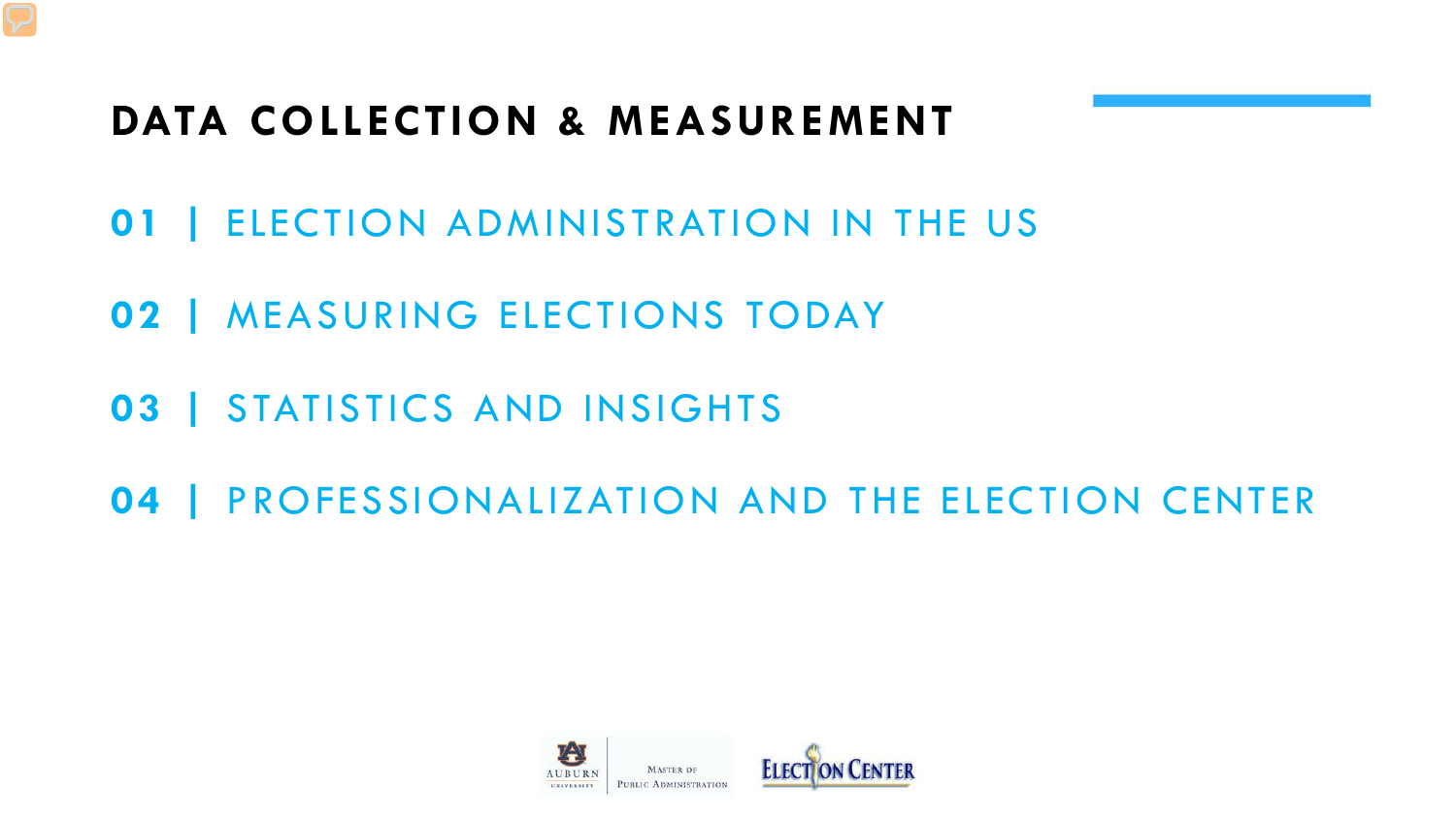## **DATA COLLECTION & MEASUREMENT**

- **01 |** ELECTION ADMINISTRATION IN THE US
- **02 |** MEASURING ELECTIONS TODAY
- **03 |** STATISTICS AND INSIGHTS
- **04 |** PROFESSIONALIZATION AND THE ELECTION CENTER

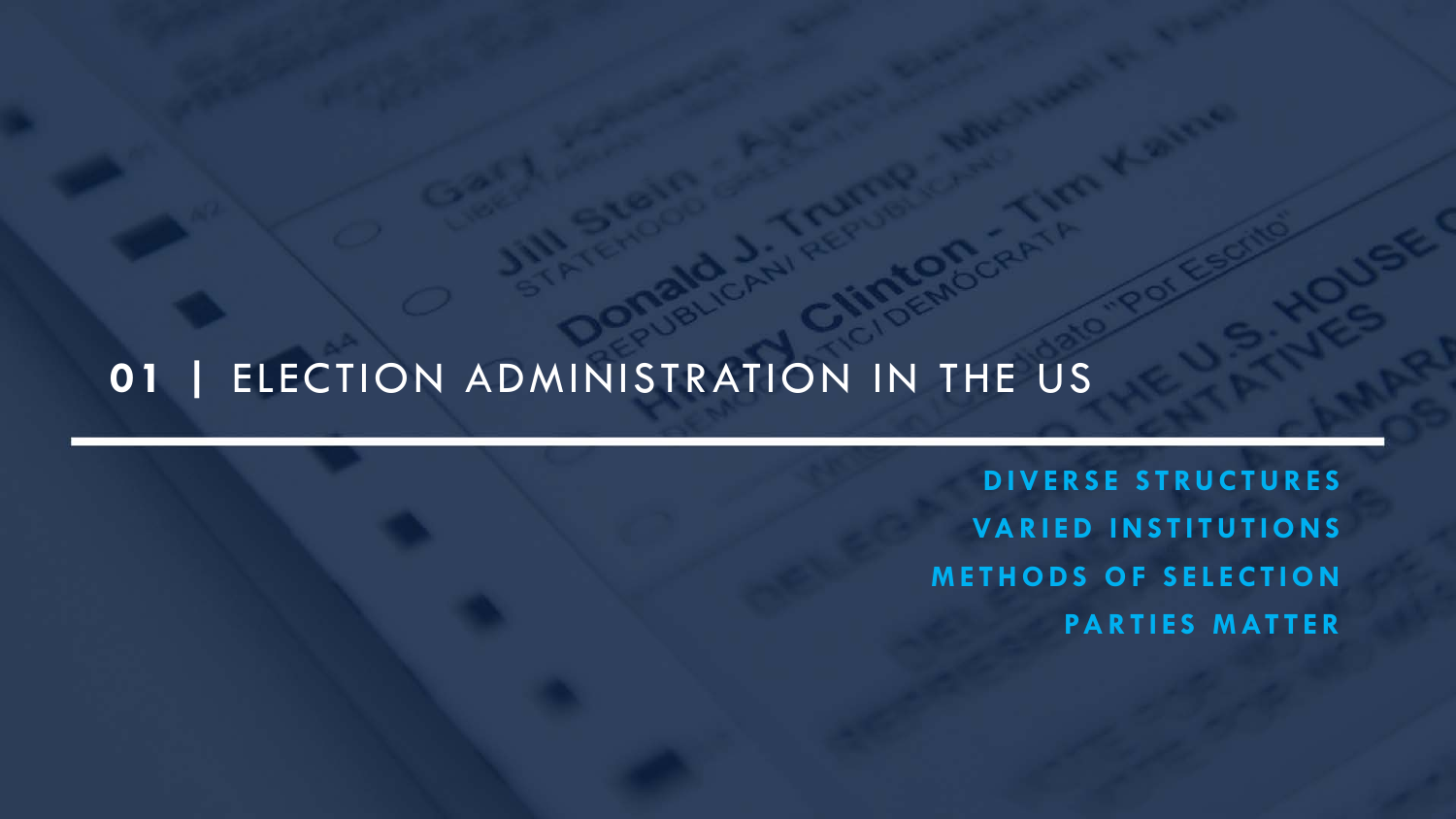## **01 |** ELECTION ADMINISTRATION IN THE US

**DIVERSE STRUCTURES VARIED INSTITUTIONS METHODS OF SELECTION PARTIES MATTER**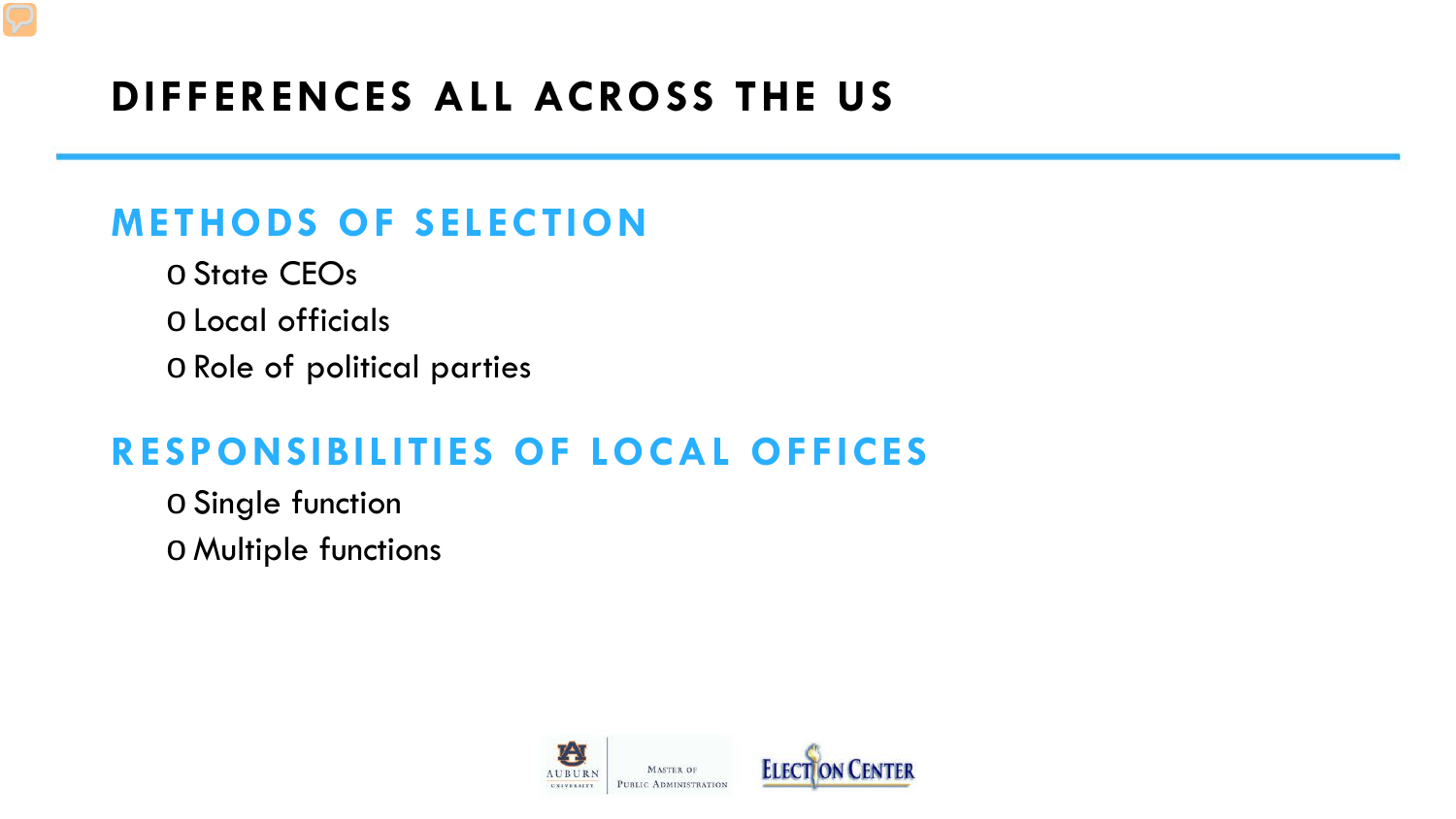## **DIFFERENCES ALL ACROSS THE US**

### **METHODS OF SELECTION**

o State CEOs o Local officials o Role of political parties

### **RESPONSIBILITIES OF LOCAL OFFICES**

o Single function oMultiple functions

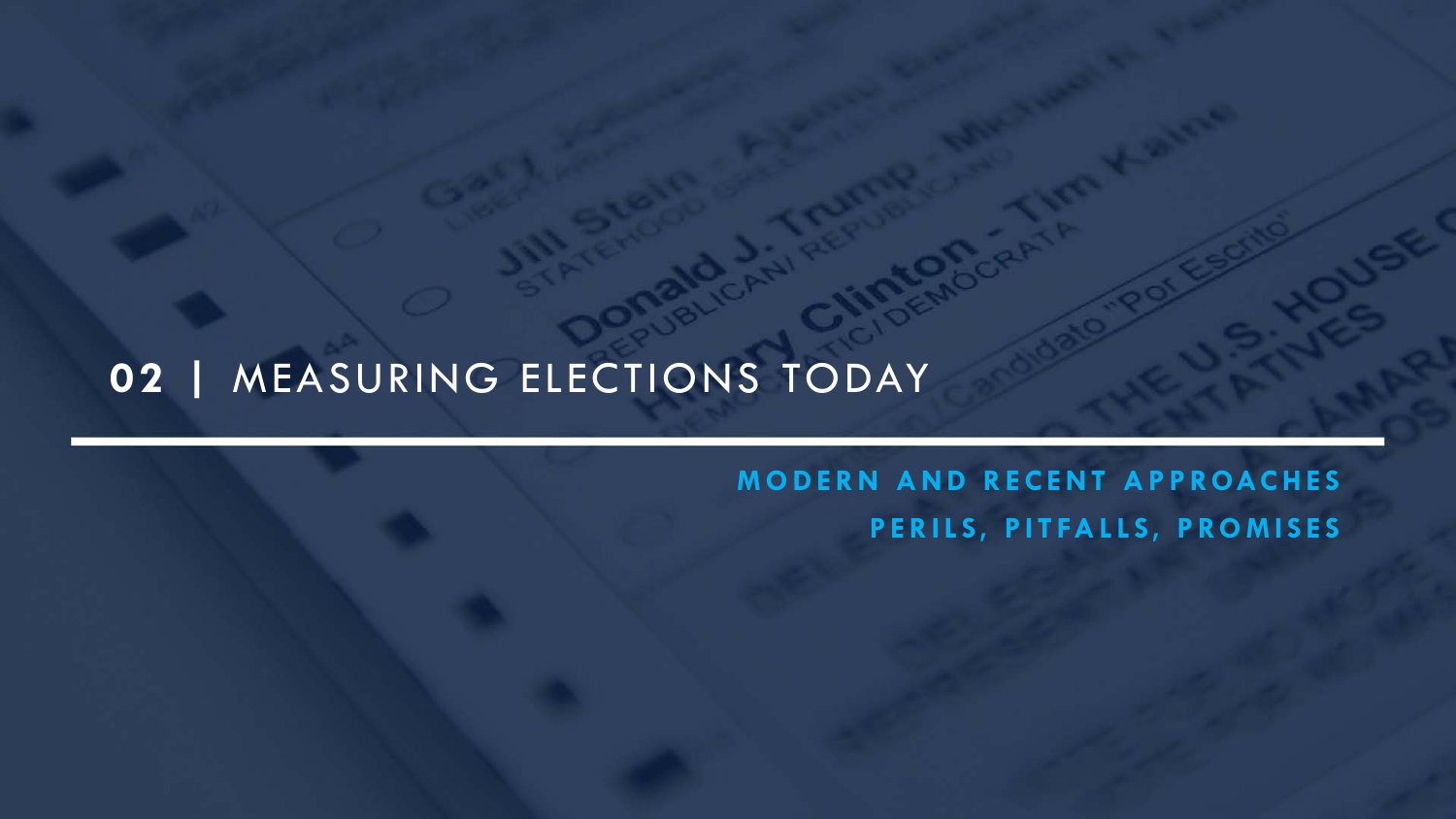# **02 |** MEASURING ELECTIONS TODAY

### **MODERN AND RECENT APPROACHES PERILS, PITFALLS, PROMISES**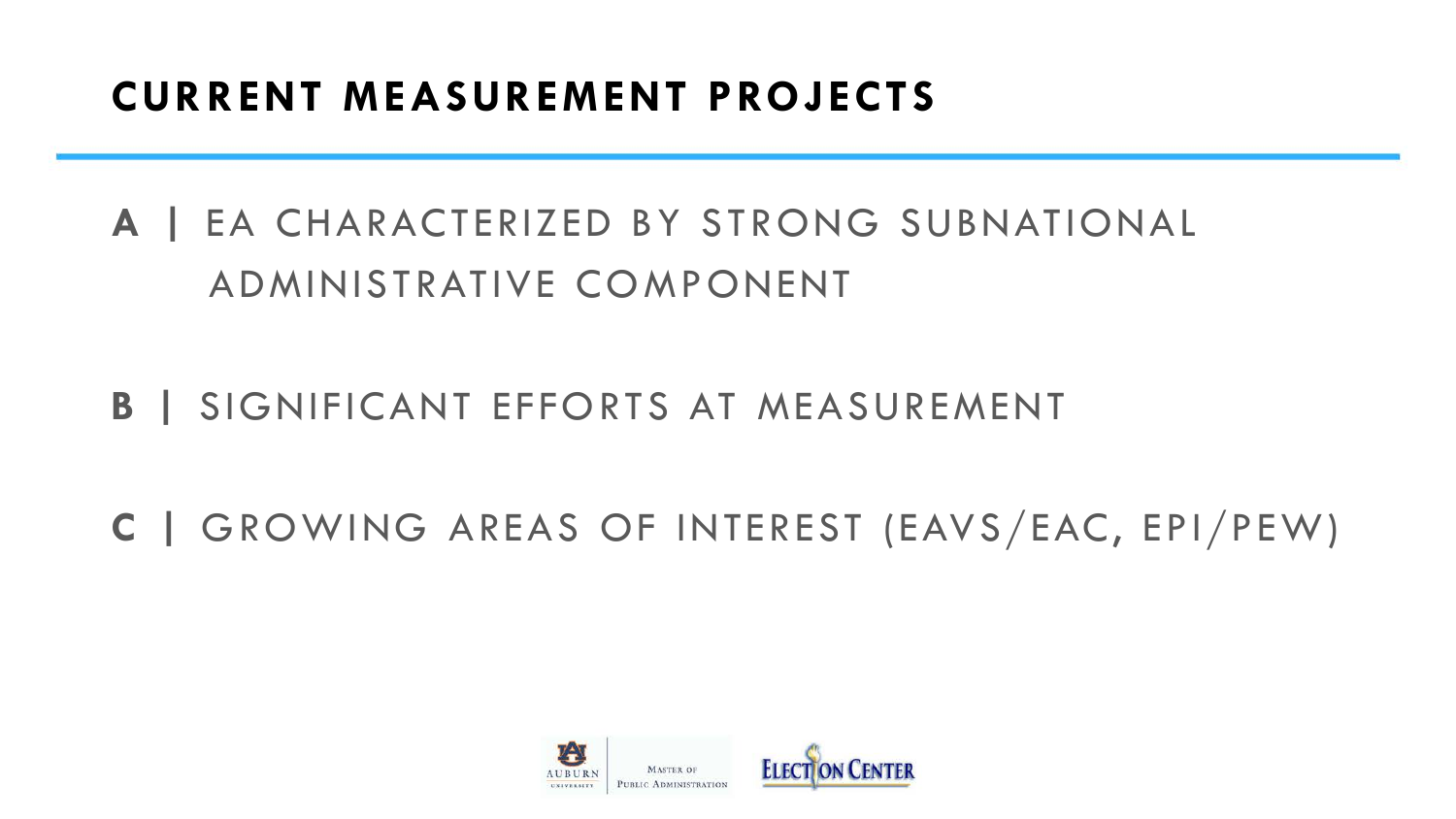### **CURRENT MEASUREMENT PROJECTS**

# **A |** EA CHARACTERIZED BY STRONG SUBNATIONAL ADMINISTRATIVE COMPONENT

- **B |** SIGNIFICANT EFFORTS AT MEASUREMENT
- **C |** GROWING AREAS OF INTEREST (EAVS/EAC, EPI/PEW)

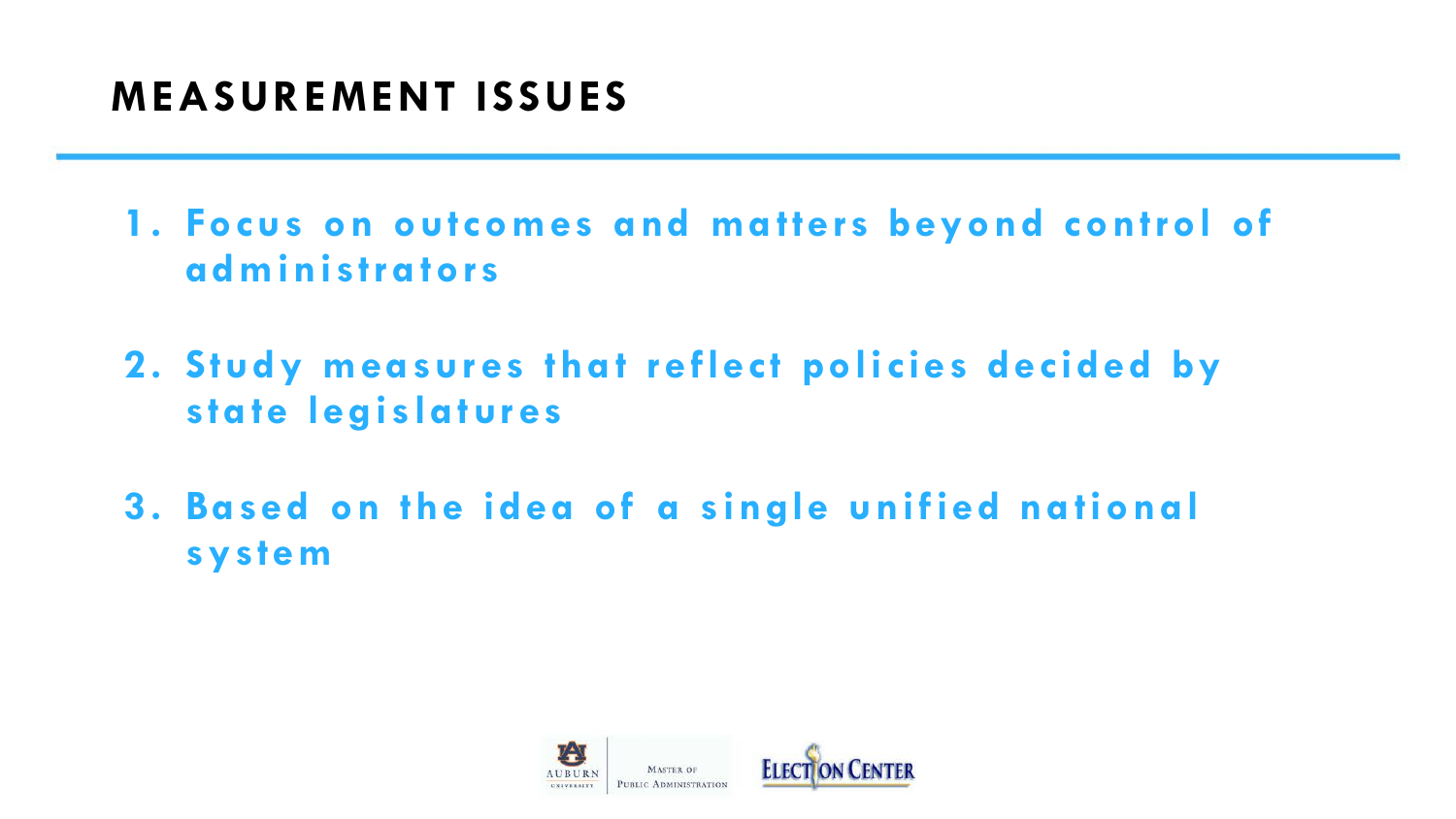### **MEASUREMENT ISSUES**

- **1. Focus on outcomes and matters beyond control of administrators**
- **2. Study measures that reflect policies decided by state legislatures**
- **3. Based on the idea of a single unified national system**

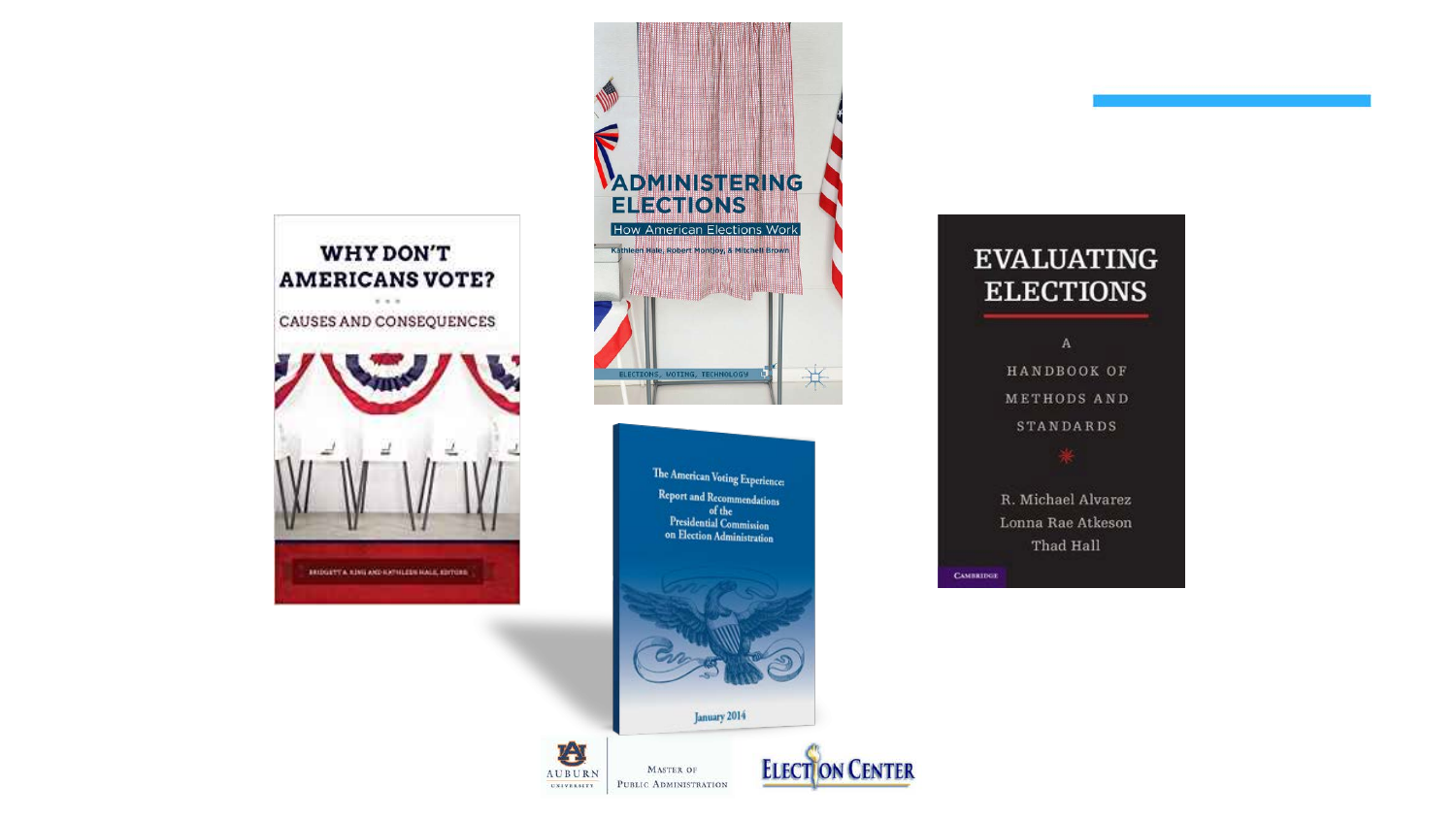



The American Voting Experience: Report and Recommendations of the<br>Presidential Commission<br>on Election Administration





む

**UNIVERSITY** 



#### **EVALUATING ELECTIONS**

 $\,$  A  $\,$ HANDBOOK OF METHODS AND **STANDARDS** 

R. Michael Alvarez Lonna Rae Atkeson Thad Hall

**CAMBRIDGE**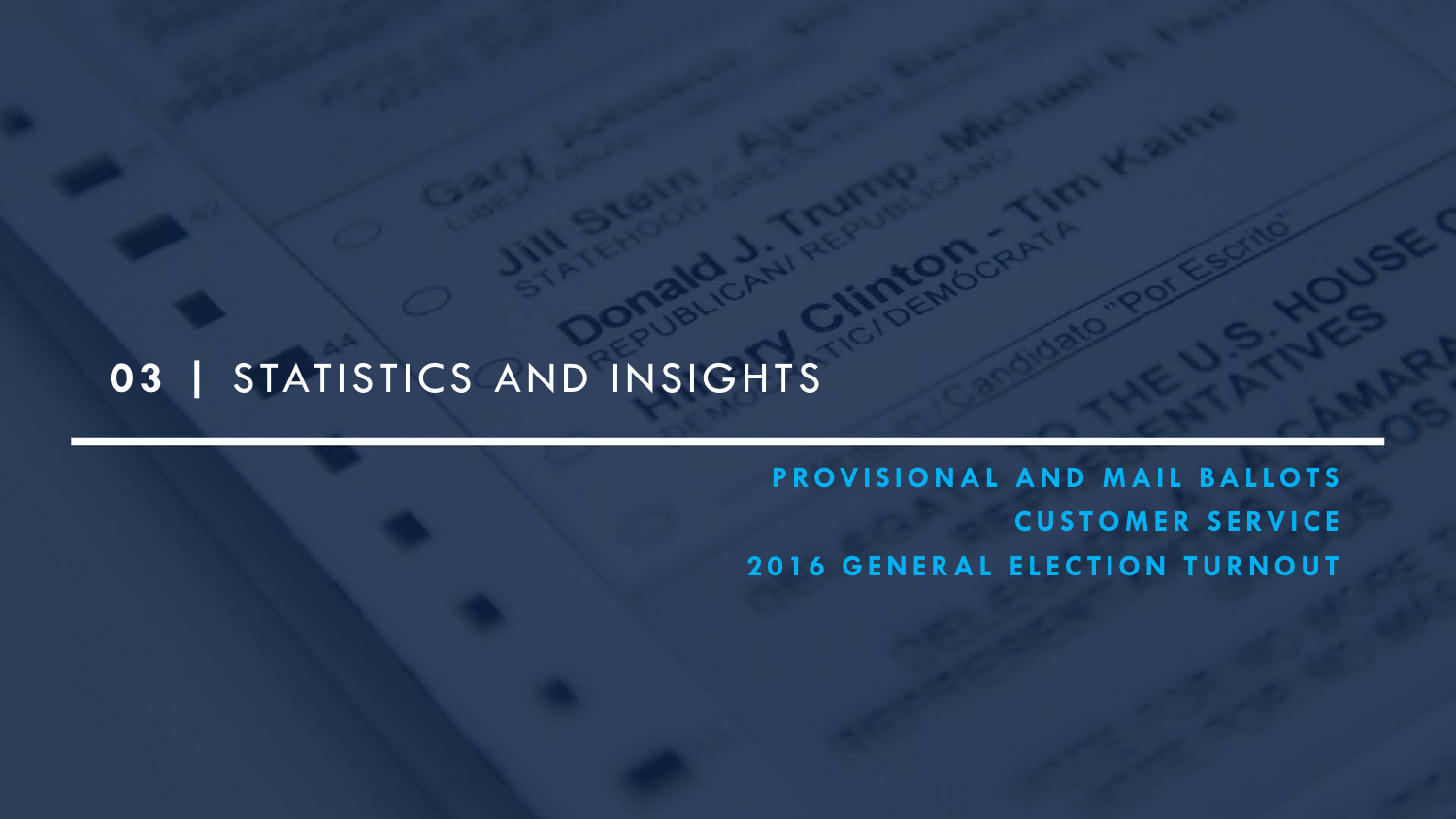### **03 |** STATISTICS AND INSIGHTS

**PROVISIONAL AND MAIL BALLOTS CUSTOMER SERVICE 2016 GENERAL ELECTION TURNOUT**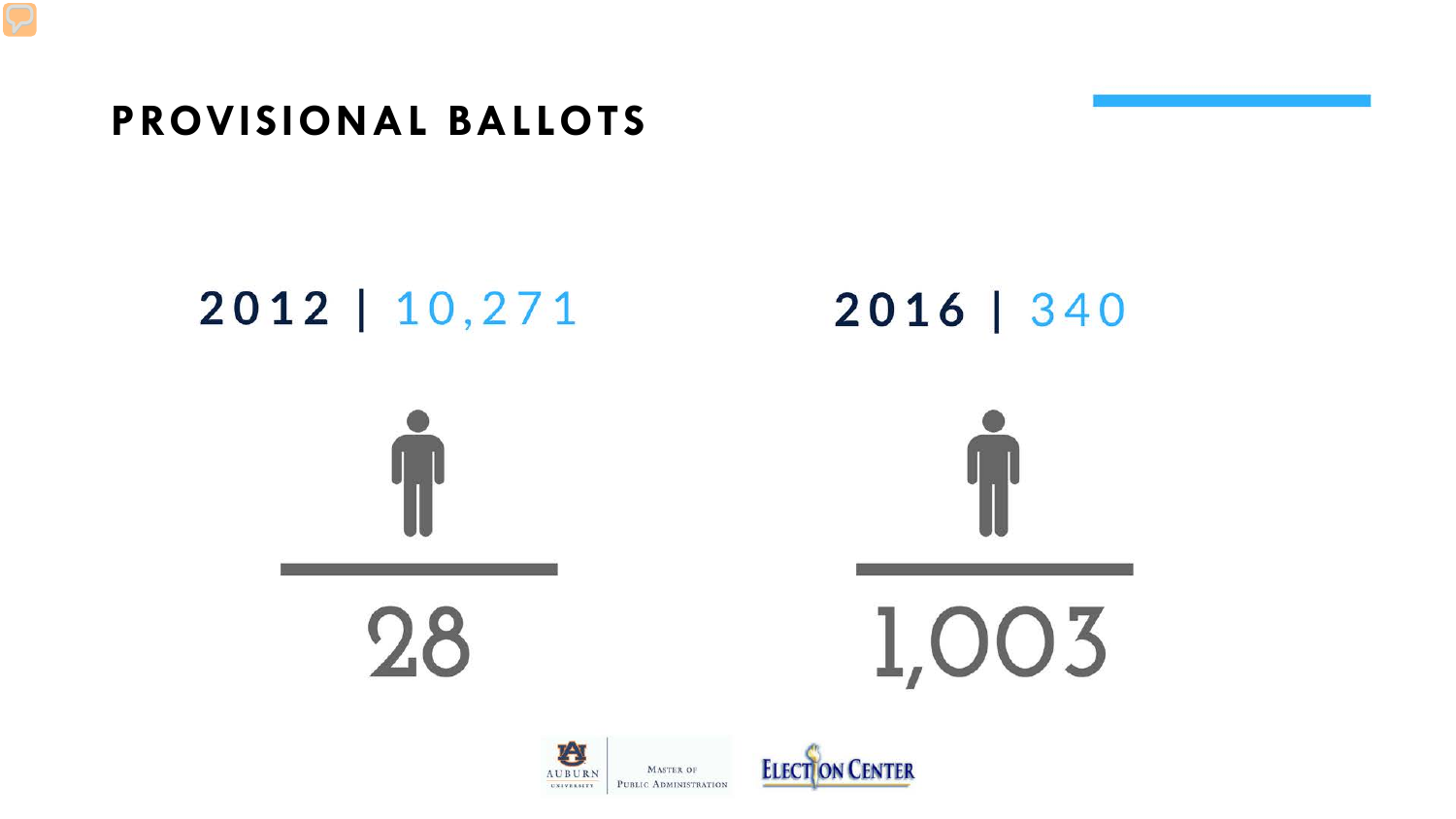### **PROVISIONAL BALLOTS**

# 2012 | 10,271

2016 | 340





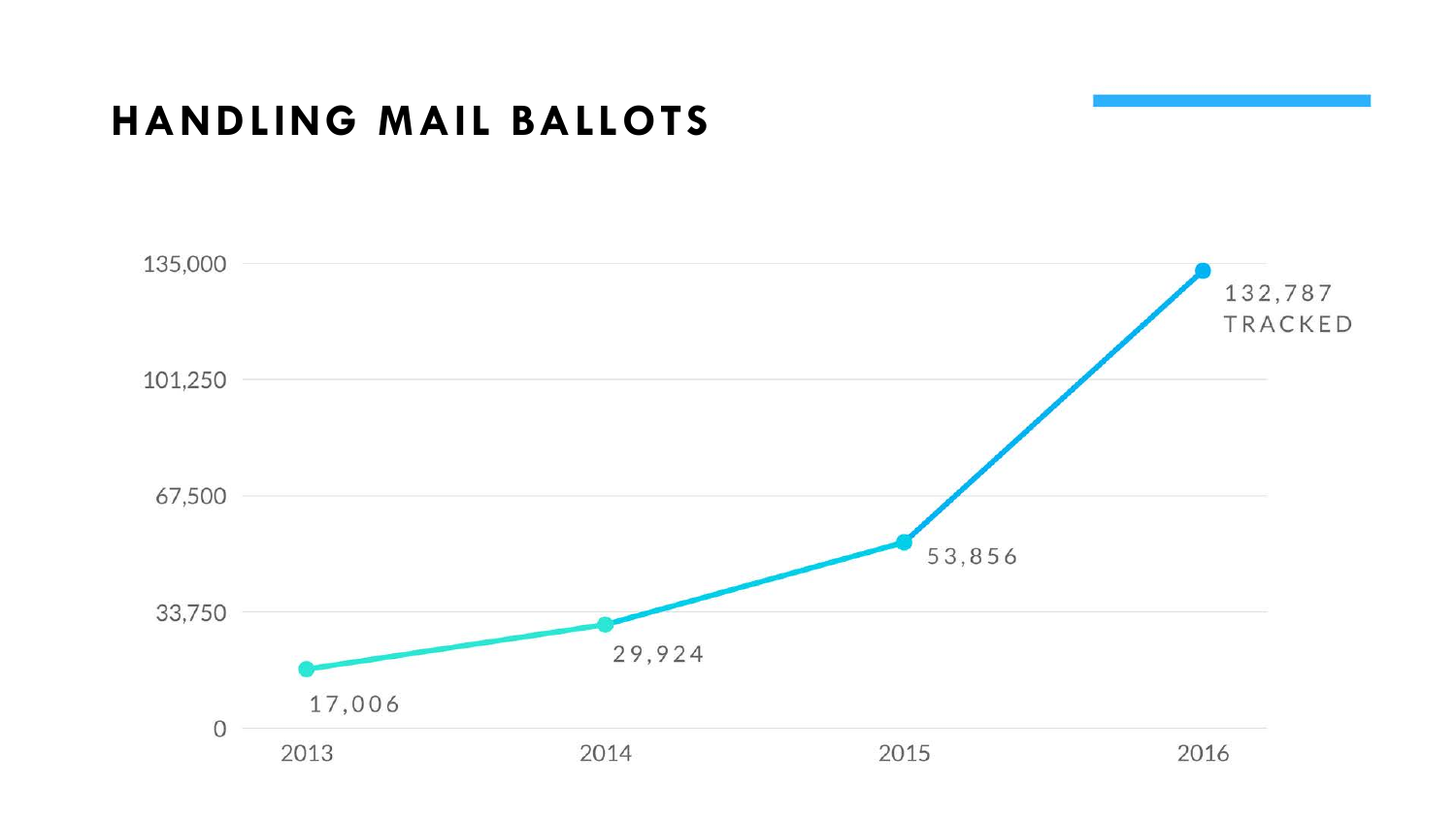### **HANDLING MAIL BALLOTS**

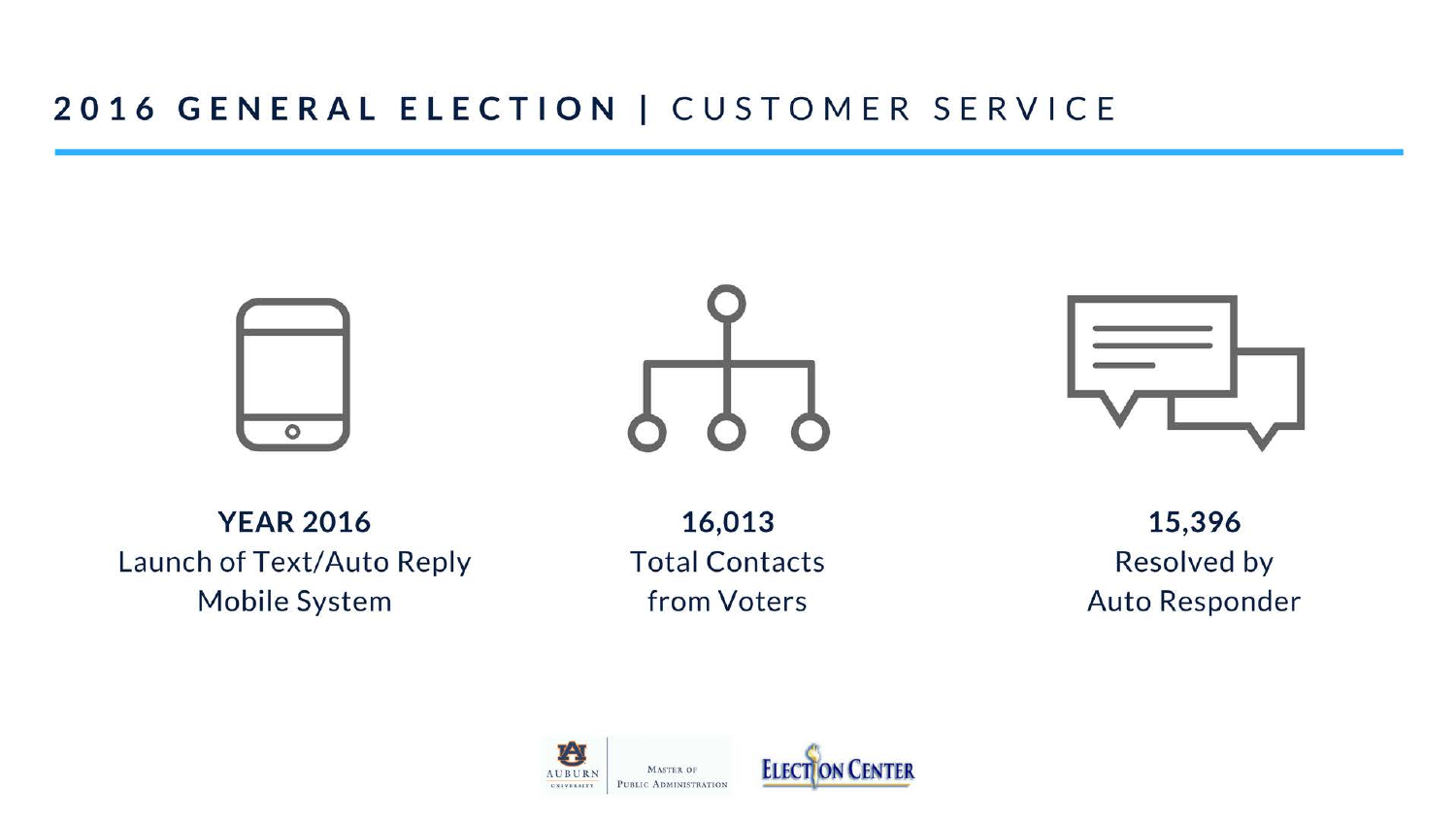#### 2016 GENERAL ELECTION | CUSTOMER SERVICE







**YEAR 2016** Launch of Text/Auto Reply Mobile System

16,013 **Total Contacts** from Voters

15,396 **Resolved by** Auto Responder

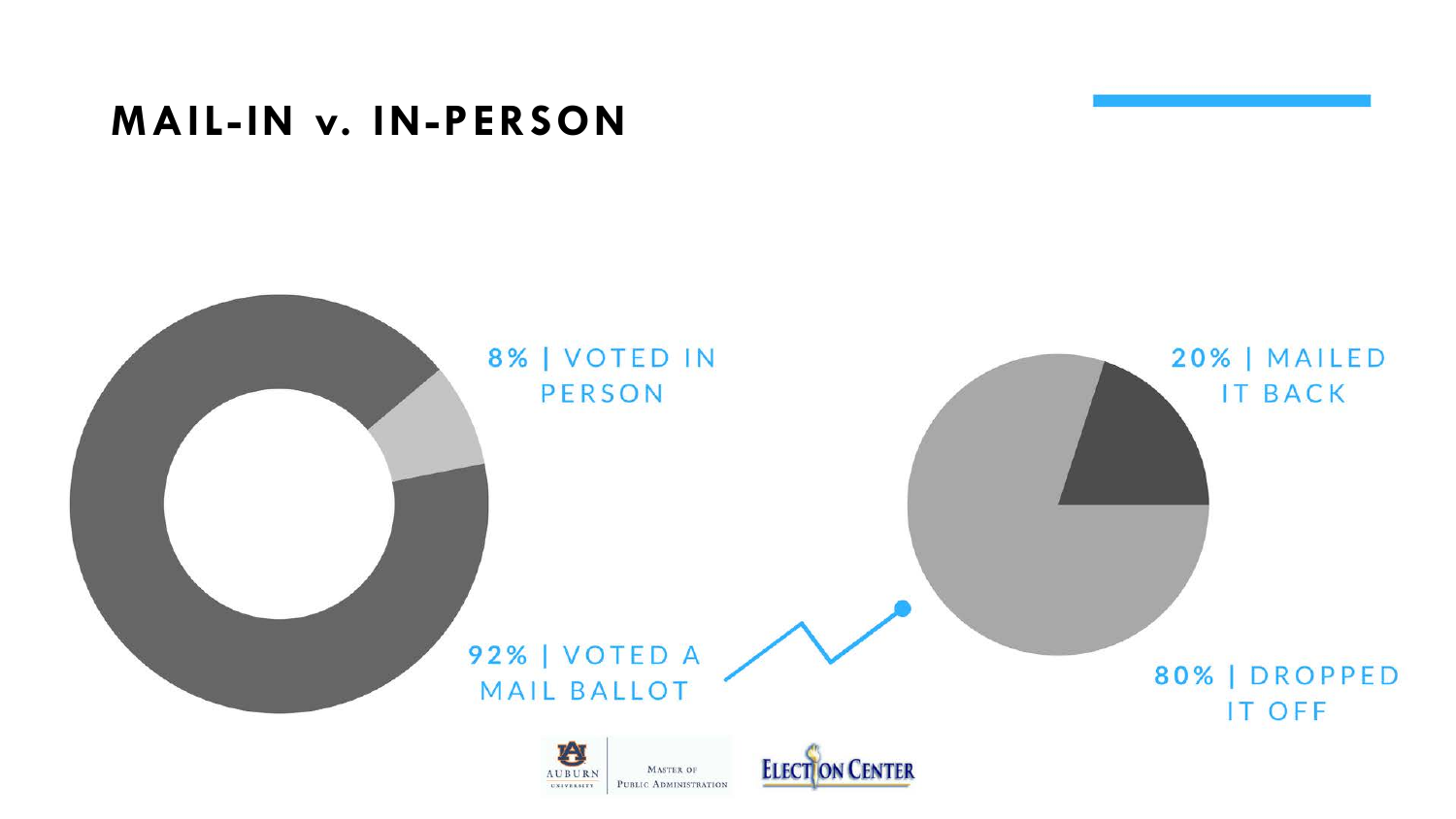### **MAIL-IN v. IN-PERSON**

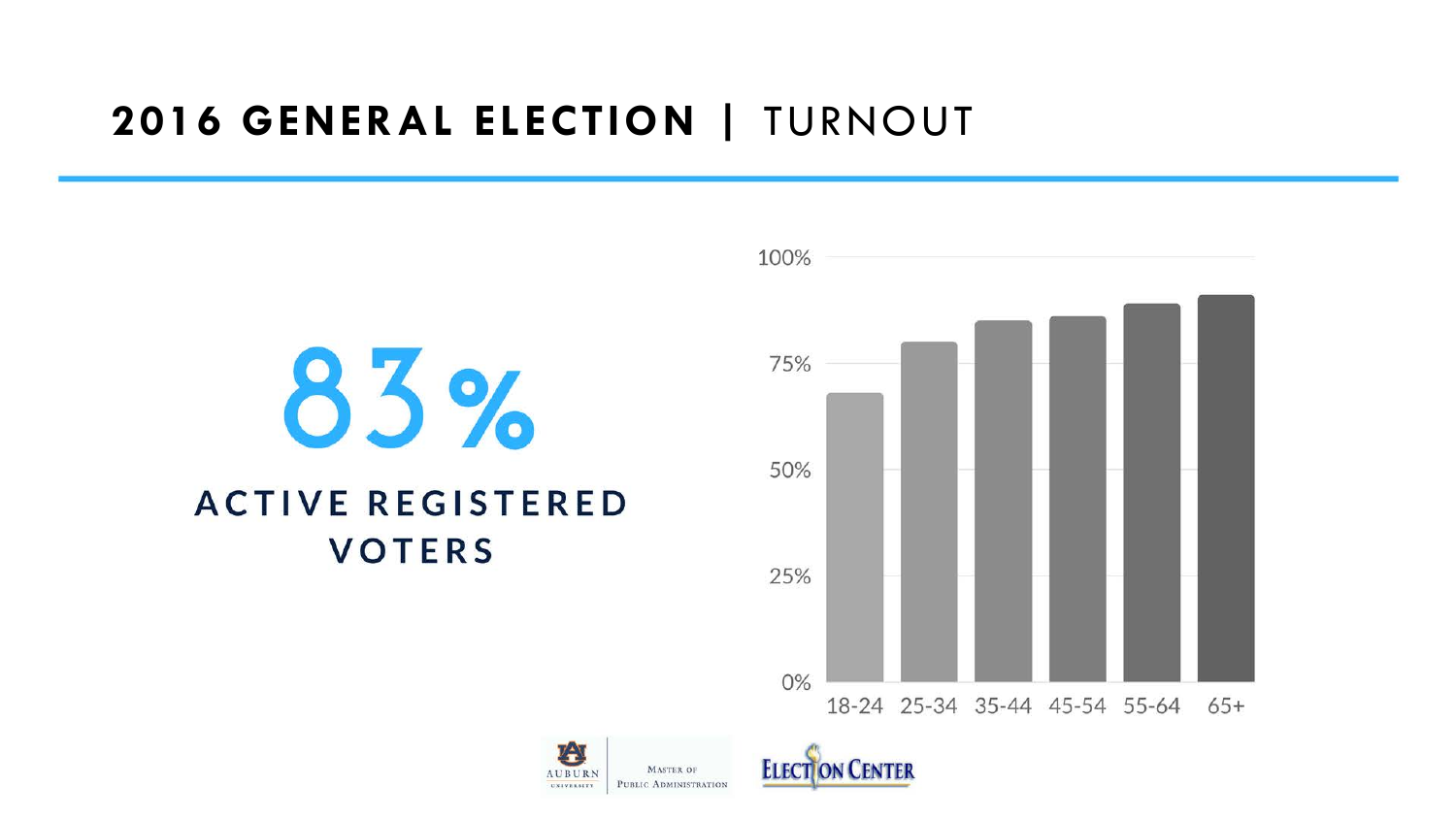### **2016 GENERAL ELECTION |** TURNOUT

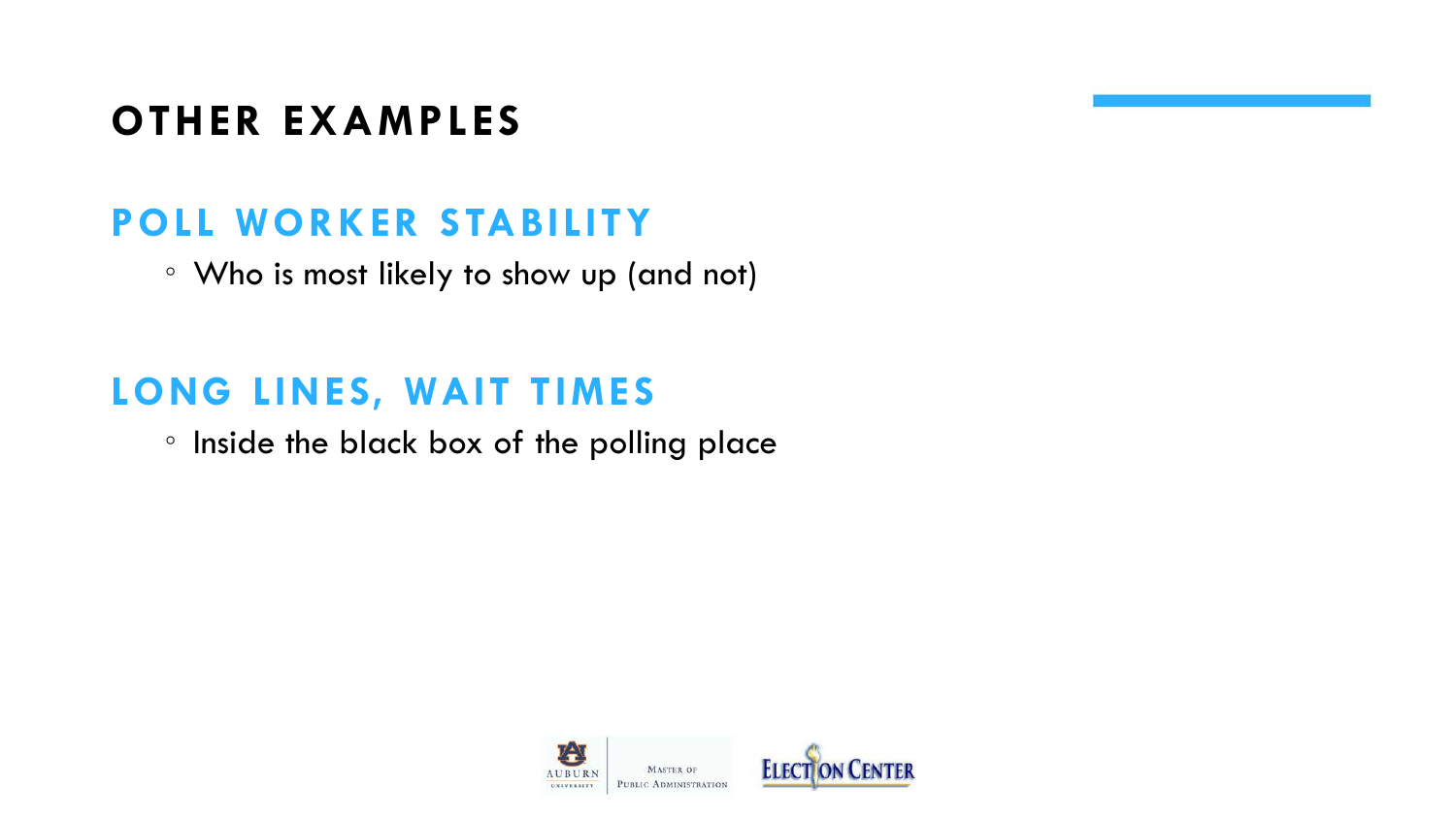## **OTHER EXAMPLES**

### **POLL WORKER STABILITY**

◦ Who is most likely to show up (and not)

### **LONG LINES, WAIT TIMES**

◦ Inside the black box of the polling place

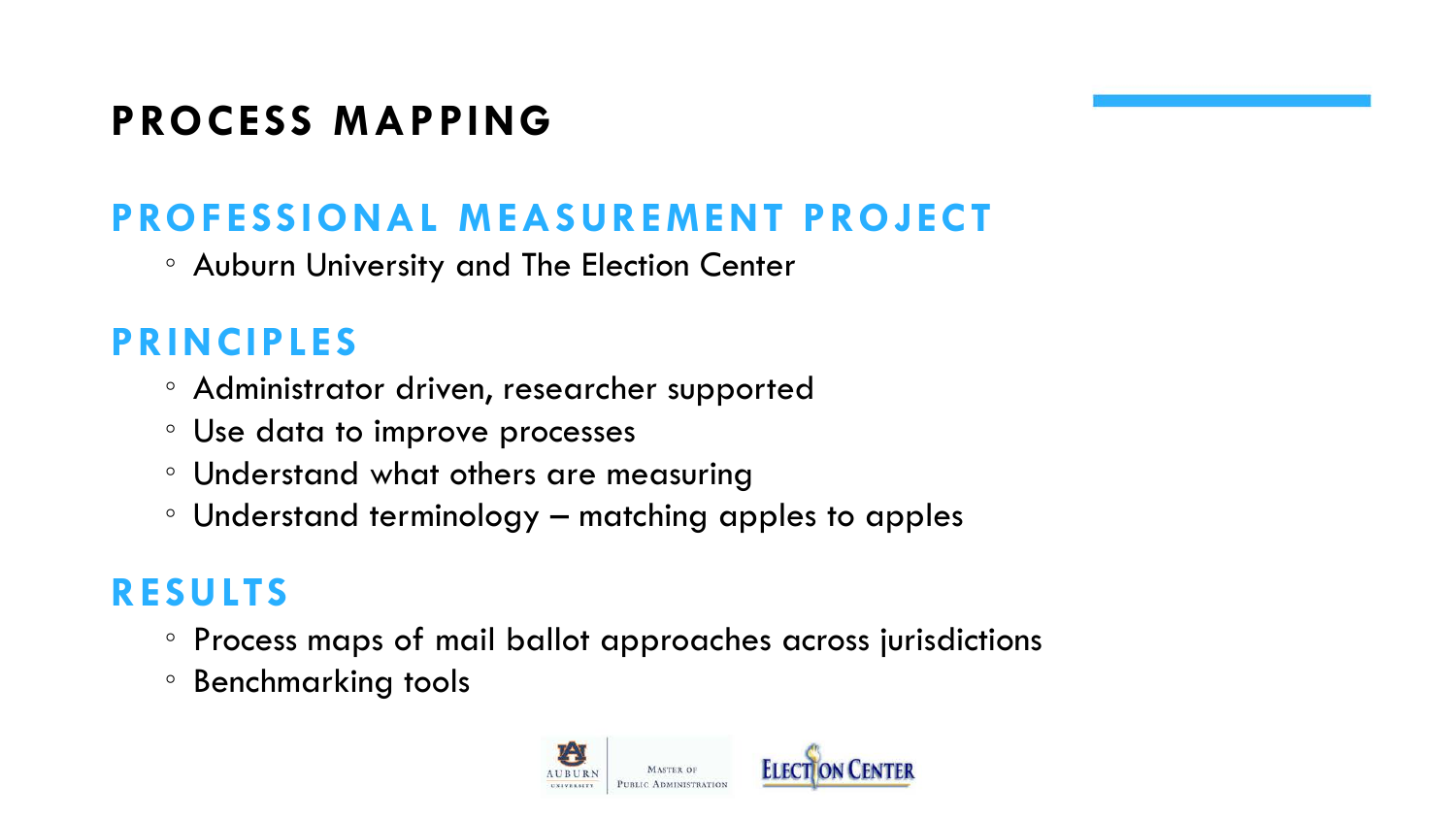## **PROCESS MAPPING**

## **PROFESSIONAL MEASUREMENT PROJECT**

◦ Auburn University and The Election Center

### **PRINCIPLES**

- Administrator driven, researcher supported
- Use data to improve processes
- Understand what others are measuring
- Understand terminology matching apples to apples

### **RESULTS**

- Process maps of mail ballot approaches across jurisdictions
- Benchmarking tools

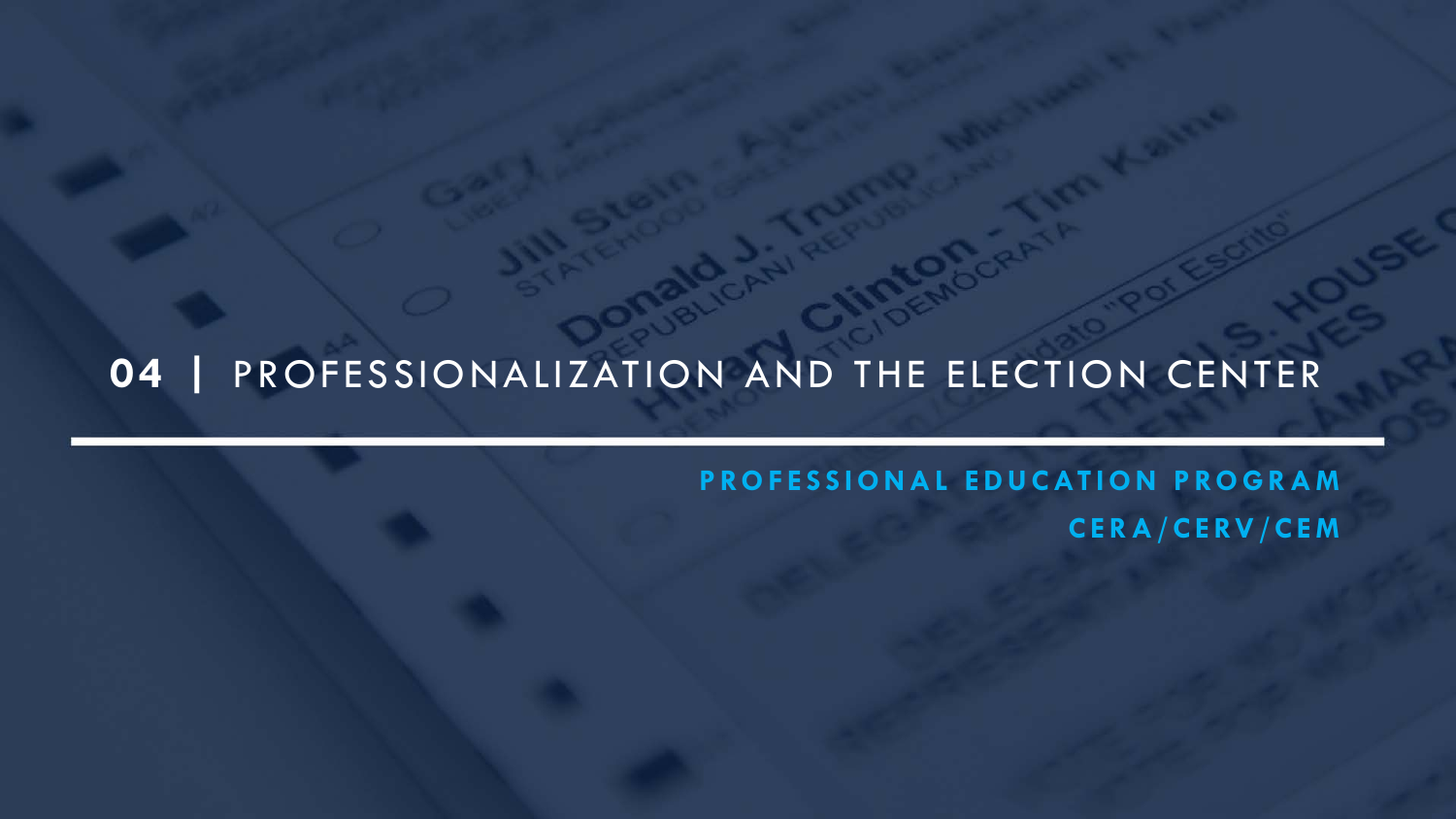### **04 |** PROFESSIONALIZATION AND THE ELECTION CENTER

**PROFESSIONAL EDUCATION PROGRAM CERA/CERV/CEM**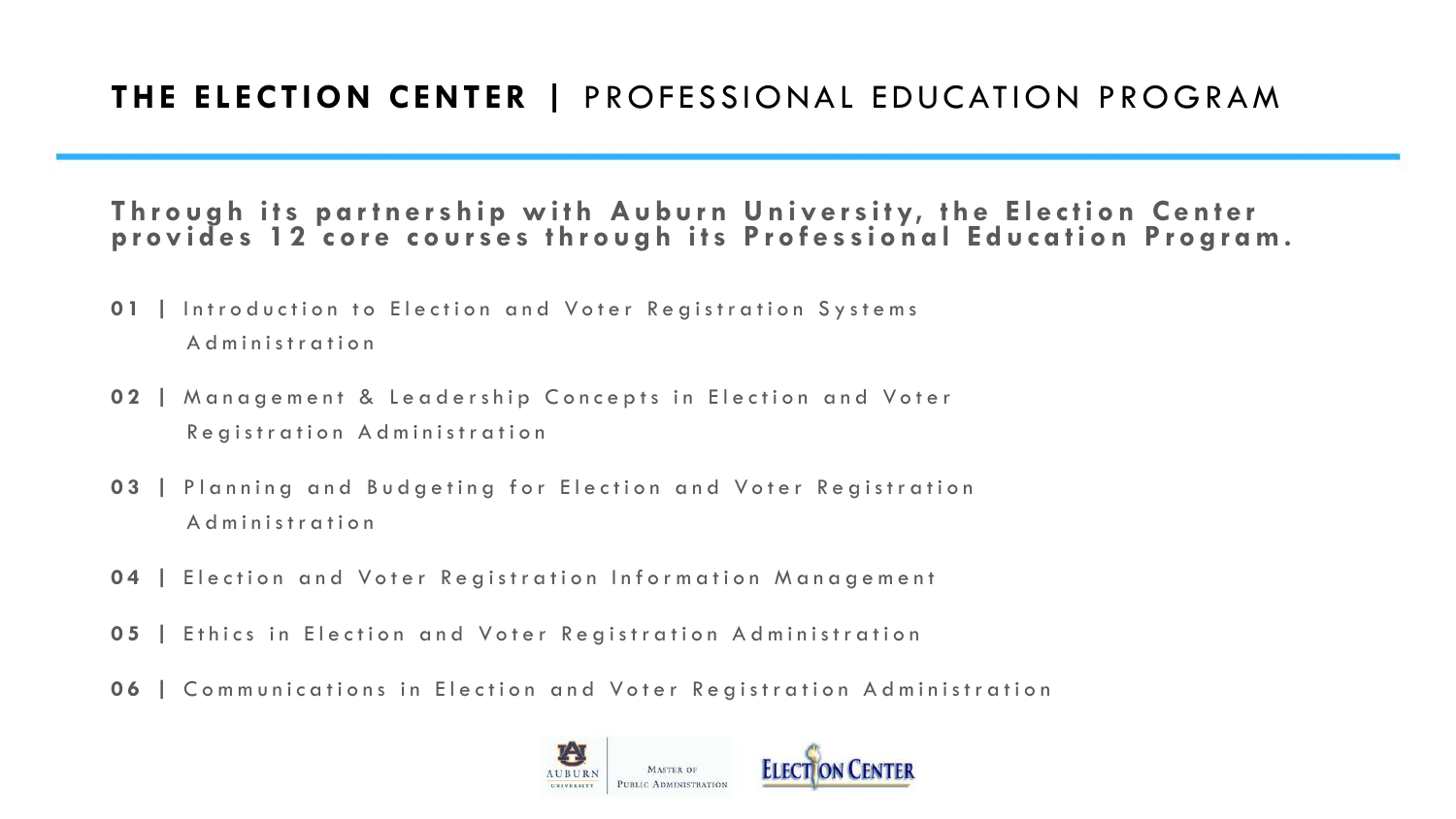#### **Through its partnership with Auburn University, the Election Center provides 12 core courses through its Professional Education Program.**

- **01 |** Introduction to Election and Voter Registration Systems Administration
- **02 |** Management & Leadership Concepts in Election and Voter Registration Administration
- **03 |** Planning and Budgeting for Election and Voter Registration Administration
- **04 |** Election and Voter Registration Information Management
- **05 |** Ethics in Election and Voter Registration Administration
- **06 |** Communications in Election and Voter Registration Administration

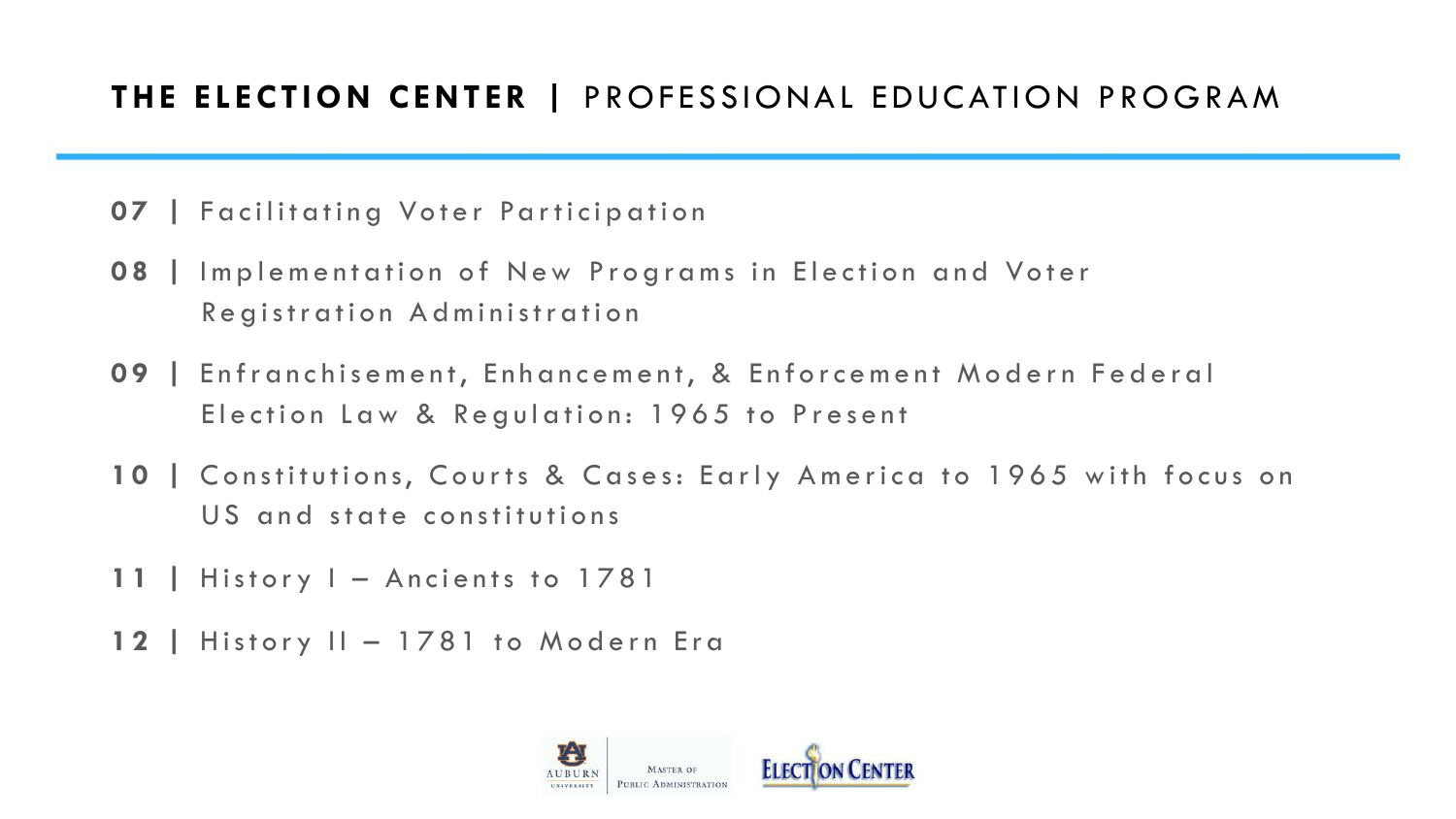#### **THE ELECTION CENTER |** PROFESSIONAL EDUCATION PROGRAM

- **07 |** Facilitating Voter Participation
- **08 |** Implementation of New Programs in Election and Voter Registration Administration
- **09 |** Enfranchisement, Enhancement, & Enforcement Modern Federal Election Law & Regulation: 1965 to Present
- **10 |** Constitutions, Courts & Cases: Early America to 1965 with focus on US and state constitutions
- **11 |** History I Ancients to 1781
- **12 |** History II 1781 to Modern Era